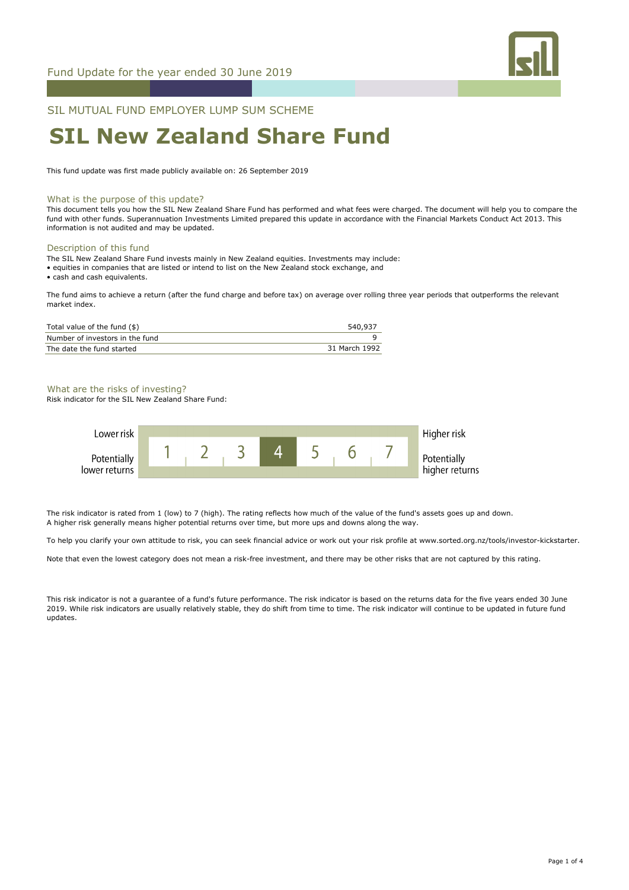

SIL MUTUAL FUND EMPLOYER LUMP SUM SCHEME

# **SIL New Zealand Share Fund**

This fund update was first made publicly available on: 26 September 2019

### What is the purpose of this update?

This document tells you how the SIL New Zealand Share Fund has performed and what fees were charged. The document will help you to compare the fund with other funds. Superannuation Investments Limited prepared this update in accordance with the Financial Markets Conduct Act 2013. This information is not audited and may be updated.

### Description of this fund

- The SIL New Zealand Share Fund invests mainly in New Zealand equities. Investments may include:
- equities in companies that are listed or intend to list on the New Zealand stock exchange, and

• cash and cash equivalents.

The fund aims to achieve a return (after the fund charge and before tax) on average over rolling three year periods that outperforms the relevant market index.

| Total value of the fund (\$)    | 540,937       |
|---------------------------------|---------------|
| Number of investors in the fund |               |
| The date the fund started       | 31 March 1992 |

### What are the risks of investing?

Risk indicator for the SIL New Zealand Share Fund:



The risk indicator is rated from 1 (low) to 7 (high). The rating reflects how much of the value of the fund's assets goes up and down. A higher risk generally means higher potential returns over time, but more ups and downs along the way.

To help you clarify your own attitude to risk, you can seek financial advice or work out your risk profile at www.sorted.org.nz/tools/investor-kickstarter.

Note that even the lowest category does not mean a risk-free investment, and there may be other risks that are not captured by this rating.

This risk indicator is not a guarantee of a fund's future performance. The risk indicator is based on the returns data for the five years ended 30 June 2019. While risk indicators are usually relatively stable, they do shift from time to time. The risk indicator will continue to be updated in future fund updates.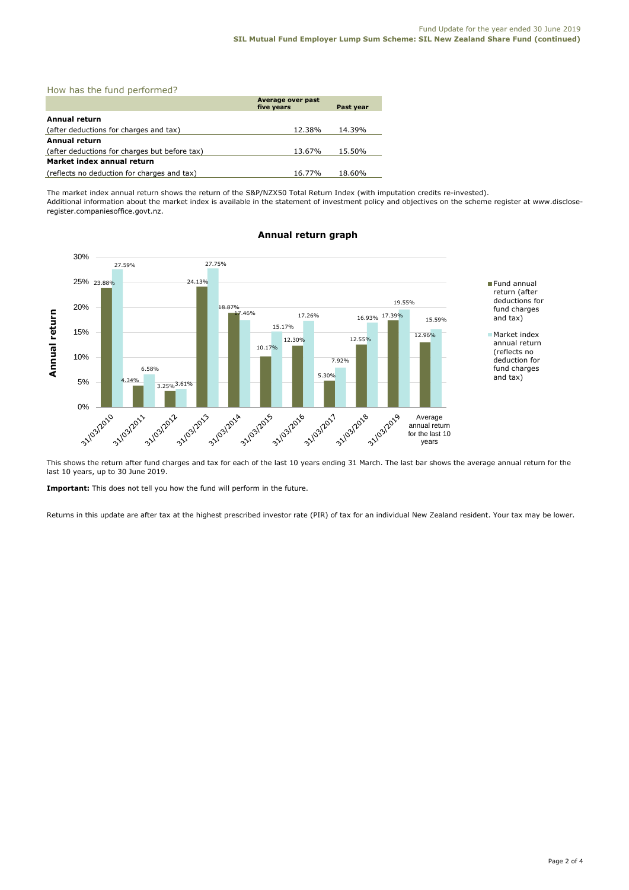|  |  |  |  | How has the fund performed? |  |
|--|--|--|--|-----------------------------|--|
|--|--|--|--|-----------------------------|--|

|                                               | Average over past<br>five years | Past year |  |  |
|-----------------------------------------------|---------------------------------|-----------|--|--|
| Annual return                                 |                                 |           |  |  |
| (after deductions for charges and tax)        | 12.38%                          | 14.39%    |  |  |
| <b>Annual return</b>                          |                                 |           |  |  |
| (after deductions for charges but before tax) | 13.67%                          | 15.50%    |  |  |
| Market index annual return                    |                                 |           |  |  |
| (reflects no deduction for charges and tax)   | 16.77%                          | 18.60%    |  |  |

The market index annual return shows the return of the S&P/NZX50 Total Return Index (with imputation credits re-invested). Additional information about the market index is available in the statement of investment policy and objectives on the scheme register at www.discloseregister.companiesoffice.govt.nz.



### **Annual return graph**

This shows the return after fund charges and tax for each of the last 10 years ending 31 March. The last bar shows the average annual return for the last 10 years, up to 30 June 2019.

**Important:** This does not tell you how the fund will perform in the future.

Returns in this update are after tax at the highest prescribed investor rate (PIR) of tax for an individual New Zealand resident. Your tax may be lower.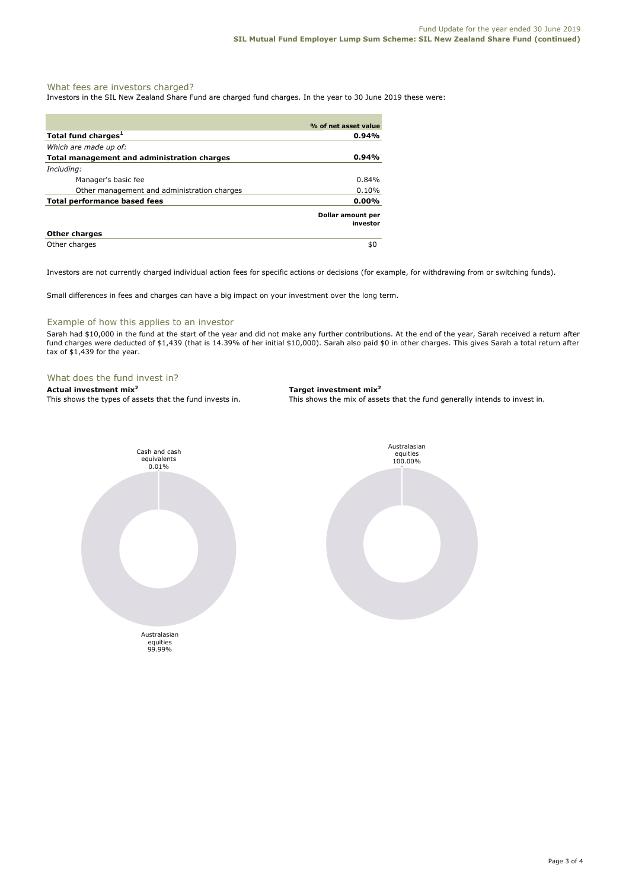### What fees are investors charged?

Investors in the SIL New Zealand Share Fund are charged fund charges. In the year to 30 June 2019 these were:

|                                             | % of net asset value          |
|---------------------------------------------|-------------------------------|
| Total fund charges <sup>1</sup>             | $0.94\%$                      |
| Which are made up of:                       |                               |
| Total management and administration charges | $0.94\%$                      |
| Including:                                  |                               |
| Manager's basic fee                         | 0.84%                         |
| Other management and administration charges | 0.10%                         |
| <b>Total performance based fees</b>         | $0.00\%$                      |
|                                             | Dollar amount per<br>investor |
| <b>Other charges</b>                        |                               |
| Other charges                               | \$0                           |

Investors are not currently charged individual action fees for specific actions or decisions (for example, for withdrawing from or switching funds).

Small differences in fees and charges can have a big impact on your investment over the long term.

### Example of how this applies to an investor

Sarah had \$10,000 in the fund at the start of the year and did not make any further contributions. At the end of the year, Sarah received a return after fund charges were deducted of \$1,439 (that is 14.39% of her initial \$10,000). Sarah also paid \$0 in other charges. This gives Sarah a total return after tax of \$1,439 for the year.

## What does the fund invest in?<br>Actual investment mix<sup>2</sup>

**Actual investment mix<sup>2</sup> <b>Target investment mix**<sup>2</sup> **This shows the types of assets that the fund invests in.** This shows the mix of assets

This shows the mix of assets that the fund generally intends to invest in.